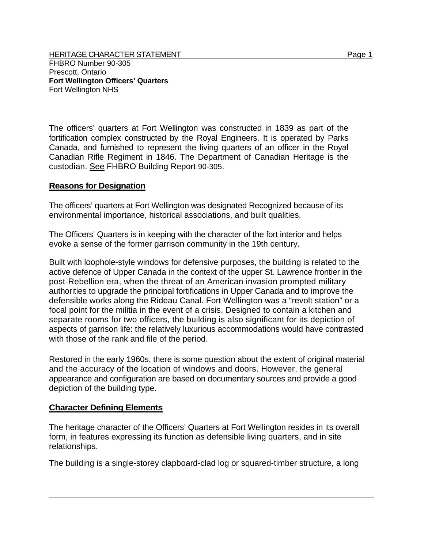The officers' quarters at Fort Wellington was constructed in 1839 as part of the fortification complex constructed by the Royal Engineers. It is operated by Parks Canada, and furnished to represent the living quarters of an officer in the Royal Canadian Rifle Regiment in 1846. The Department of Canadian Heritage is the custodian. See FHBRO Building Report 90-305.

## **Reasons for Designation**

Fort Wellington NHS

The officers' quarters at Fort Wellington was designated Recognized because of its environmental importance, historical associations, and built qualities.

The Officers' Quarters is in keeping with the character of the fort interior and helps evoke a sense of the former garrison community in the 19th century.

Built with loophole-style windows for defensive purposes, the building is related to the active defence of Upper Canada in the context of the upper St. Lawrence frontier in the post-Rebellion era, when the threat of an American invasion prompted military authorities to upgrade the principal fortifications in Upper Canada and to improve the defensible works along the Rideau Canal. Fort Wellington was a "revolt station" or a focal point for the militia in the event of a crisis. Designed to contain a kitchen and separate rooms for two officers, the building is also significant for its depiction of aspects of garrison life: the relatively luxurious accommodations would have contrasted with those of the rank and file of the period.

Restored in the early 1960s, there is some question about the extent of original material and the accuracy of the location of windows and doors. However, the general appearance and configuration are based on documentary sources and provide a good depiction of the building type.

## **Character Defining Elements**

The heritage character of the Officers' Quarters at Fort Wellington resides in its overall form, in features expressing its function as defensible living quarters, and in site relationships.

The building is a single-storey clapboard-clad log or squared-timber structure, a long